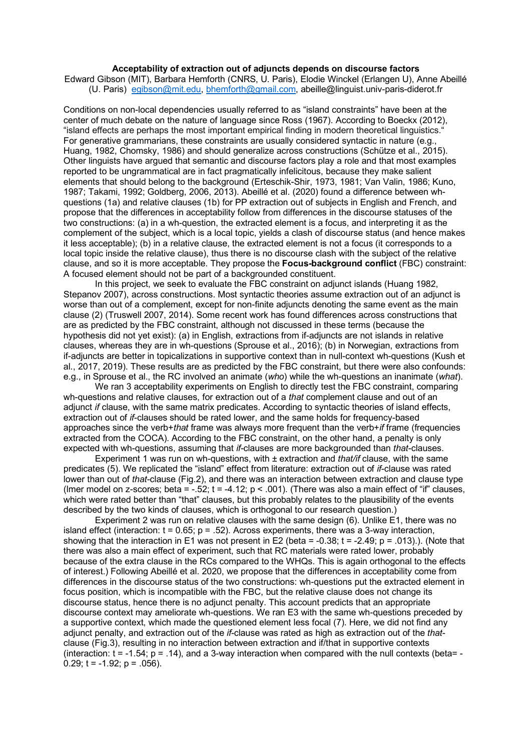## **Acceptability of extraction out of adjuncts depends on discourse factors**

Edward Gibson (MIT), Barbara Hemforth (CNRS, U. Paris), Elodie Winckel (Erlangen U), Anne Abeillé (U. Paris) egibson@mit.edu, bhemforth@gmail.com, abeille@linguist.univ-paris-diderot.fr

Conditions on non-local dependencies usually referred to as "island constraints" have been at the center of much debate on the nature of language since Ross (1967). According to Boeckx (2012), "island effects are perhaps the most important empirical finding in modern theoretical linguistics." For generative grammarians, these constraints are usually considered syntactic in nature (e.g., Huang, 1982, Chomsky, 1986) and should generalize across constructions (Schütze et al., 2015). Other linguists have argued that semantic and discourse factors play a role and that most examples reported to be ungrammatical are in fact pragmatically infelicitous, because they make salient elements that should belong to the background (Erteschik-Shir, 1973, 1981; Van Valin, 1986; Kuno, 1987; Takami, 1992; Goldberg, 2006, 2013). Abeillé et al. (2020) found a difference between whquestions (1a) and relative clauses (1b) for PP extraction out of subjects in English and French, and propose that the differences in acceptability follow from differences in the discourse statuses of the two constructions: (a) in a wh-question, the extracted element is a focus, and interpreting it as the complement of the subject, which is a local topic, yields a clash of discourse status (and hence makes it less acceptable); (b) in a relative clause, the extracted element is not a focus (it corresponds to a local topic inside the relative clause), thus there is no discourse clash with the subject of the relative clause, and so it is more acceptable. They propose the **Focus-background conflict** (FBC) constraint: A focused element should not be part of a backgrounded constituent.

In this project, we seek to evaluate the FBC constraint on adjunct islands (Huang 1982, Stepanov 2007), across constructions. Most syntactic theories assume extraction out of an adjunct is worse than out of a complement, except for non-finite adjuncts denoting the same event as the main clause (2) (Truswell 2007, 2014). Some recent work has found differences across constructions that are as predicted by the FBC constraint, although not discussed in these terms (because the hypothesis did not yet exist): (a) in English, extractions from if-adjuncts are not islands in relative clauses, whereas they are in wh-questions (Sprouse et al., 2016); (b) in Norwegian, extractions from if-adjuncts are better in topicalizations in supportive context than in null-context wh-questions (Kush et al., 2017, 2019). These results are as predicted by the FBC constraint, but there were also confounds: e.g., in Sprouse et al., the RC involved an animate (*who*) while the wh-questions an inanimate (*what*).

We ran 3 acceptability experiments on English to directly test the FBC constraint, comparing wh-questions and relative clauses, for extraction out of a *that* complement clause and out of an adjunct *if* clause, with the same matrix predicates. According to syntactic theories of island effects, extraction out of *if*-clauses should be rated lower, and the same holds for frequency-based approaches since the verb+*that* frame was always more frequent than the verb+*if* frame (frequencies extracted from the COCA). According to the FBC constraint, on the other hand, a penalty is only expected with wh-questions, assuming that *if*-clauses are more backgrounded than *that*-clauses.

Experiment 1 was run on wh-questions, with ± extraction and *that/if* clause, with the same predicates (5). We replicated the "island" effect from literature: extraction out of *if*-clause was rated lower than out of *that*-clause (Fig.2), and there was an interaction between extraction and clause type (lmer model on z-scores; beta = -.52; t = -4.12;  $p < .001$ ). (There was also a main effect of "if" clauses, which were rated better than "that" clauses, but this probably relates to the plausibility of the events described by the two kinds of clauses, which is orthogonal to our research question.)

Experiment 2 was run on relative clauses with the same design (6). Unlike E1, there was no island effect (interaction:  $t = 0.65$ ;  $p = .52$ ). Across experiments, there was a 3-way interaction, showing that the interaction in E1 was not present in E2 (beta =  $-0.38$ ; t =  $-2.49$ ; p = .013).). (Note that there was also a main effect of experiment, such that RC materials were rated lower, probably because of the extra clause in the RCs compared to the WHQs. This is again orthogonal to the effects of interest.) Following Abeillé et al. 2020, we propose that the differences in acceptability come from differences in the discourse status of the two constructions: wh-questions put the extracted element in focus position, which is incompatible with the FBC, but the relative clause does not change its discourse status, hence there is no adjunct penalty. This account predicts that an appropriate discourse context may ameliorate wh-questions. We ran E3 with the same wh-questions preceded by a supportive context, which made the questioned element less focal (7). Here, we did not find any adjunct penalty, and extraction out of the *if*-clause was rated as high as extraction out of the *that*clause (Fig.3), resulting in no interaction between extraction and if/that in supportive contexts (interaction:  $t = -1.54$ ;  $p = 0.14$ ), and a 3-way interaction when compared with the null contexts (beta = -0.29;  $t = -1.92$ ;  $p = .056$ ).